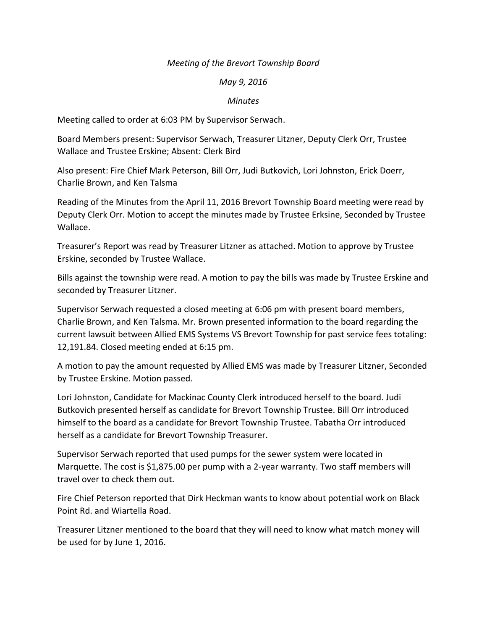## *Meeting of the Brevort Township Board*

## *May 9, 2016*

## *Minutes*

Meeting called to order at 6:03 PM by Supervisor Serwach.

Board Members present: Supervisor Serwach, Treasurer Litzner, Deputy Clerk Orr, Trustee Wallace and Trustee Erskine; Absent: Clerk Bird

Also present: Fire Chief Mark Peterson, Bill Orr, Judi Butkovich, Lori Johnston, Erick Doerr, Charlie Brown, and Ken Talsma

Reading of the Minutes from the April 11, 2016 Brevort Township Board meeting were read by Deputy Clerk Orr. Motion to accept the minutes made by Trustee Erksine, Seconded by Trustee Wallace.

Treasurer's Report was read by Treasurer Litzner as attached. Motion to approve by Trustee Erskine, seconded by Trustee Wallace.

Bills against the township were read. A motion to pay the bills was made by Trustee Erskine and seconded by Treasurer Litzner.

Supervisor Serwach requested a closed meeting at 6:06 pm with present board members, Charlie Brown, and Ken Talsma. Mr. Brown presented information to the board regarding the current lawsuit between Allied EMS Systems VS Brevort Township for past service fees totaling: 12,191.84. Closed meeting ended at 6:15 pm.

A motion to pay the amount requested by Allied EMS was made by Treasurer Litzner, Seconded by Trustee Erskine. Motion passed.

Lori Johnston, Candidate for Mackinac County Clerk introduced herself to the board. Judi Butkovich presented herself as candidate for Brevort Township Trustee. Bill Orr introduced himself to the board as a candidate for Brevort Township Trustee. Tabatha Orr introduced herself as a candidate for Brevort Township Treasurer.

Supervisor Serwach reported that used pumps for the sewer system were located in Marquette. The cost is \$1,875.00 per pump with a 2-year warranty. Two staff members will travel over to check them out.

Fire Chief Peterson reported that Dirk Heckman wants to know about potential work on Black Point Rd. and Wiartella Road.

Treasurer Litzner mentioned to the board that they will need to know what match money will be used for by June 1, 2016.